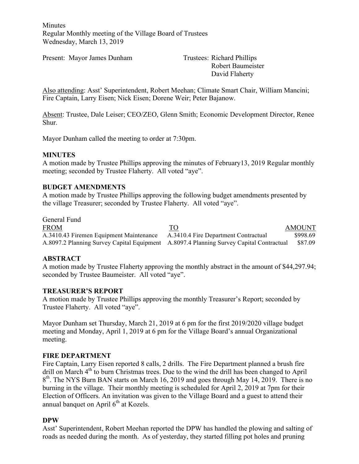**Minutes** Regular Monthly meeting of the Village Board of Trustees Wednesday, March 13, 2019

Present: Mayor James Dunham Trustees: Richard Phillips

Robert Baumeister David Flaherty

Also attending: Asst' Superintendent, Robert Meehan; Climate Smart Chair, William Mancini; Fire Captain, Larry Eisen; Nick Eisen; Dorene Weir; Peter Bajanow.

Absent: Trustee, Dale Leiser; CEO/ZEO, Glenn Smith; Economic Development Director, Renee Shur.

Mayor Dunham called the meeting to order at 7:30pm.

#### **MINUTES**

A motion made by Trustee Phillips approving the minutes of February13, 2019 Regular monthly meeting; seconded by Trustee Flaherty. All voted "aye".

#### **BUDGET AMENDMENTS**

A motion made by Trustee Phillips approving the following budget amendments presented by the village Treasurer; seconded by Trustee Flaherty. All voted "aye".

General Fund FROM TO TO AMOUNT A.3410.43 Firemen Equipment Maintenance A.3410.4 Fire Department Contractual \$998.69 A.8097.2 Planning Survey Capital Equipment A.8097.4 Planning Survey Capital Contractual \$87.09

## **ABSTRACT**

A motion made by Trustee Flaherty approving the monthly abstract in the amount of \$44,297.94; seconded by Trustee Baumeister. All voted "aye".

#### **TREASURER'S REPORT**

A motion made by Trustee Phillips approving the monthly Treasurer's Report; seconded by Trustee Flaherty. All voted "aye".

Mayor Dunham set Thursday, March 21, 2019 at 6 pm for the first 2019/2020 village budget meeting and Monday, April 1, 2019 at 6 pm for the Village Board's annual Organizational meeting.

#### **FIRE DEPARTMENT**

Fire Captain, Larry Eisen reported 8 calls, 2 drills. The Fire Department planned a brush fire drill on March  $4<sup>th</sup>$  to burn Christmas trees. Due to the wind the drill has been changed to April 8<sup>th</sup>. The NYS Burn BAN starts on March 16, 2019 and goes through May 14, 2019. There is no burning in the village. Their monthly meeting is scheduled for April 2, 2019 at 7pm for their Election of Officers. An invitation was given to the Village Board and a guest to attend their annual banquet on April  $6<sup>th</sup>$  at Kozels.

#### **DPW**

Asst' Superintendent, Robert Meehan reported the DPW has handled the plowing and salting of roads as needed during the month. As of yesterday, they started filling pot holes and pruning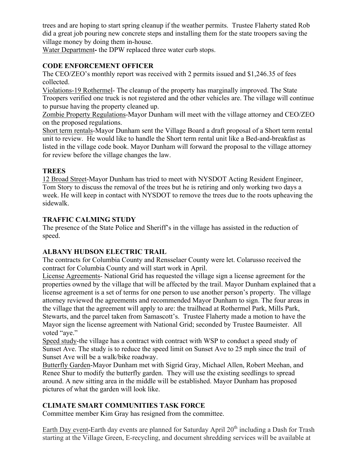trees and are hoping to start spring cleanup if the weather permits. Trustee Flaherty stated Rob did a great job pouring new concrete steps and installing them for the state troopers saving the village money by doing them in-house.

Water Department**-** the DPW replaced three water curb stops.

# **CODE ENFORCEMENT OFFICER**

The CEO/ZEO's monthly report was received with 2 permits issued and \$1,246.35 of fees collected.

Violations-19 Rothermel- The cleanup of the property has marginally improved. The State Troopers verified one truck is not registered and the other vehicles are. The village will continue to pursue having the property cleaned up.

Zombie Property Regulations-Mayor Dunham will meet with the village attorney and CEO/ZEO on the proposed regulations.

Short term rentals-Mayor Dunham sent the Village Board a draft proposal of a Short term rental unit to review. He would like to handle the Short term rental unit like a Bed-and-breakfast as listed in the village code book. Mayor Dunham will forward the proposal to the village attorney for review before the village changes the law.

# **TREES**

12 Broad Street-Mayor Dunham has tried to meet with NYSDOT Acting Resident Engineer, Tom Story to discuss the removal of the trees but he is retiring and only working two days a week. He will keep in contact with NYSDOT to remove the trees due to the roots upheaving the sidewalk.

# **TRAFFIC CALMING STUDY**

The presence of the State Police and Sheriff's in the village has assisted in the reduction of speed.

# **ALBANY HUDSON ELECTRIC TRAIL**

The contracts for Columbia County and Rensselaer County were let. Colarusso received the contract for Columbia County and will start work in April.

License Agreements- National Grid has requested the village sign a license agreement for the properties owned by the village that will be affected by the trail. Mayor Dunham explained that a license agreement is a set of terms for one person to use another person's property. The village attorney reviewed the agreements and recommended Mayor Dunham to sign. The four areas in the village that the agreement will apply to are: the trailhead at Rothermel Park, Mills Park, Stewarts, and the parcel taken from Samascott's. Trustee Flaherty made a motion to have the Mayor sign the license agreement with National Grid; seconded by Trustee Baumeister. All voted "aye."

Speed study-the village has a contract with contract with WSP to conduct a speed study of Sunset Ave. The study is to reduce the speed limit on Sunset Ave to 25 mph since the trail of Sunset Ave will be a walk/bike roadway.

Butterfly Garden-Mayor Dunham met with Sigrid Gray, Michael Allen, Robert Meehan, and Renee Shur to modify the butterfly garden. They will use the existing seedlings to spread around. A new sitting area in the middle will be established. Mayor Dunham has proposed pictures of what the garden will look like.

# **CLIMATE SMART COMMUNITIES TASK FORCE**

Committee member Kim Gray has resigned from the committee.

Earth Day event-Earth day events are planned for Saturday April 20<sup>th</sup> including a Dash for Trash starting at the Village Green, E-recycling, and document shredding services will be available at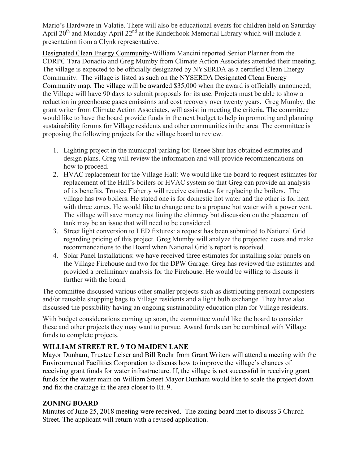Mario's Hardware in Valatie. There will also be educational events for children held on Saturday April 20<sup>th</sup> and Monday April 22<sup>nd</sup> at the Kinderhook Memorial Library which will include a presentation from a Clynk representative.

Designated Clean Energy Community**-**William Mancini reported Senior Planner from the CDRPC Tara Donadio and Greg Mumby from Climate Action Associates attended their meeting. The village is expected to be officially designated by NYSERDA as a certified Clean Energy Community. The village is listed as such on the NYSERDA Designated Clean Energy Community map. The village will be awarded \$35,000 when the award is officially announced; the Village will have 90 days to submit proposals for its use. Projects must be able to show a reduction in greenhouse gases emissions and cost recovery over twenty years. Greg Mumby, the grant writer from Climate Action Associates, will assist in meeting the criteria. The committee would like to have the board provide funds in the next budget to help in promoting and planning sustainability forums for Village residents and other communities in the area. The committee is proposing the following projects for the village board to review.

- 1. Lighting project in the municipal parking lot: Renee Shur has obtained estimates and design plans. Greg will review the information and will provide recommendations on how to proceed.
- 2. HVAC replacement for the Village Hall: We would like the board to request estimates for replacement of the Hall's boilers or HVAC system so that Greg can provide an analysis of its benefits. Trustee Flaherty will receive estimates for replacing the boilers. The village has two boilers. He stated one is for domestic hot water and the other is for heat with three zones. He would like to change one to a propane hot water with a power vent. The village will save money not lining the chimney but discussion on the placement of tank may be an issue that will need to be considered.
- 3. Street light conversion to LED fixtures: a request has been submitted to National Grid regarding pricing of this project. Greg Mumby will analyze the projected costs and make recommendations to the Board when National Grid's report is received.
- 4. Solar Panel Installations: we have received three estimates for installing solar panels on the Village Firehouse and two for the DPW Garage. Greg has reviewed the estimates and provided a preliminary analysis for the Firehouse. He would be willing to discuss it further with the board.

The committee discussed various other smaller projects such as distributing personal composters and/or reusable shopping bags to Village residents and a light bulb exchange. They have also discussed the possibility having an ongoing sustainability education plan for Village residents.

With budget considerations coming up soon, the committee would like the board to consider these and other projects they may want to pursue. Award funds can be combined with Village funds to complete projects.

# **WILLIAM STREET RT. 9 TO MAIDEN LANE**

Mayor Dunham, Trustee Leiser and Bill Roehr from Grant Writers will attend a meeting with the Environmental Facilities Corporation to discuss how to improve the village's chances of receiving grant funds for water infrastructure. If, the village is not successful in receiving grant funds for the water main on William Street Mayor Dunham would like to scale the project down and fix the drainage in the area closet to Rt. 9.

# **ZONING BOARD**

Minutes of June 25, 2018 meeting were received. The zoning board met to discuss 3 Church Street. The applicant will return with a revised application.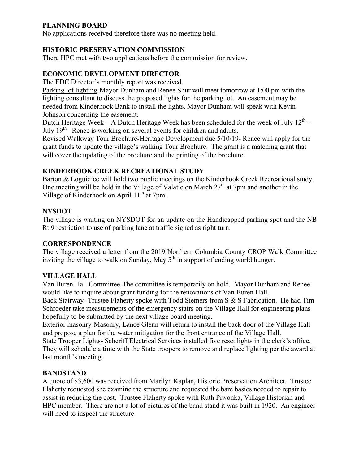# **PLANNING BOARD**

No applications received therefore there was no meeting held.

# **HISTORIC PRESERVATION COMMISSION**

There HPC met with two applications before the commission for review.

# **ECONOMIC DEVELOPMENT DIRECTOR**

The EDC Director's monthly report was received.

Parking lot lighting-Mayor Dunham and Renee Shur will meet tomorrow at 1:00 pm with the lighting consultant to discuss the proposed lights for the parking lot. An easement may be needed from Kinderhook Bank to install the lights. Mayor Dunham will speak with Kevin Johnson concerning the easement.

Dutch Heritage Week – A Dutch Heritage Week has been scheduled for the week of July  $12^{th}$  – July  $19<sup>th</sup>$ . Renee is working on several events for children and adults.

Revised Walkway Tour Brochure-Heritage Development due 5/10/19- Renee will apply for the grant funds to update the village's walking Tour Brochure. The grant is a matching grant that will cover the updating of the brochure and the printing of the brochure.

## **KINDERHOOK CREEK RECREATIONAL STUDY**

Barton & Loguidice will hold two public meetings on the Kinderhook Creek Recreational study. One meeting will be held in the Village of Valatie on March  $27<sup>th</sup>$  at 7pm and another in the Village of Kinderhook on April  $11^{th}$  at 7pm.

# **NYSDOT**

The village is waiting on NYSDOT for an update on the Handicapped parking spot and the NB Rt 9 restriction to use of parking lane at traffic signed as right turn.

## **CORRESPONDENCE**

The village received a letter from the 2019 Northern Columbia County CROP Walk Committee inviting the village to walk on Sunday, May  $5<sup>th</sup>$  in support of ending world hunger.

## **VILLAGE HALL**

Van Buren Hall Committee-The committee is temporarily on hold. Mayor Dunham and Renee would like to inquire about grant funding for the renovations of Van Buren Hall.

Back Stairway- Trustee Flaherty spoke with Todd Siemers from S & S Fabrication. He had Tim Schroeder take measurements of the emergency stairs on the Village Hall for engineering plans hopefully to be submitted by the next village board meeting.

Exterior masonry-Masonry, Lance Glenn will return to install the back door of the Village Hall and propose a plan for the water mitigation for the front entrance of the Village Hall.

State Trooper Lights- Scheriff Electrical Services installed five reset lights in the clerk's office. They will schedule a time with the State troopers to remove and replace lighting per the award at last month's meeting.

## **BANDSTAND**

A quote of \$3,600 was received from Marilyn Kaplan, Historic Preservation Architect. Trustee Flaherty requested she examine the structure and requested the bare basics needed to repair to assist in reducing the cost. Trustee Flaherty spoke with Ruth Piwonka, Village Historian and HPC member. There are not a lot of pictures of the band stand it was built in 1920. An engineer will need to inspect the structure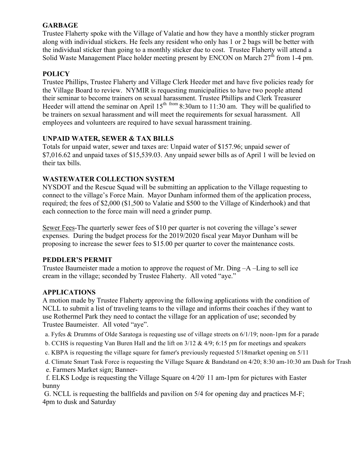## **GARBAGE**

Trustee Flaherty spoke with the Village of Valatie and how they have a monthly sticker program along with individual stickers. He feels any resident who only has 1 or 2 bags will be better with the individual sticker than going to a monthly sticker due to cost. Trustee Flaherty will attend a Solid Waste Management Place holder meeting present by ENCON on March  $27<sup>th</sup>$  from 1-4 pm.

# **POLICY**

Trustee Phillips, Trustee Flaherty and Village Clerk Heeder met and have five policies ready for the Village Board to review. NYMIR is requesting municipalities to have two people attend their seminar to become trainers on sexual harassment. Trustee Phillips and Clerk Treasurer Heeder will attend the seminar on April  $15<sup>th</sup>$  from 8:30am to 11:30 am. They will be qualified to be trainers on sexual harassment and will meet the requirements for sexual harassment. All employees and volunteers are required to have sexual harassment training.

## **UNPAID WATER, SEWER & TAX BILLS**

Totals for unpaid water, sewer and taxes are: Unpaid water of \$157.96; unpaid sewer of \$7,016.62 and unpaid taxes of \$15,539.03. Any unpaid sewer bills as of April 1 will be levied on their tax bills.

# **WASTEWATER COLLECTION SYSTEM**

NYSDOT and the Rescue Squad will be submitting an application to the Village requesting to connect to the village's Force Main. Mayor Dunham informed them of the application process, required; the fees of \$2,000 (\$1,500 to Valatie and \$500 to the Village of Kinderhook) and that each connection to the force main will need a grinder pump.

Sewer Fees-The quarterly sewer fees of \$10 per quarter is not covering the village's sewer expenses. During the budget process for the 2019/2020 fiscal year Mayor Dunham will be proposing to increase the sewer fees to \$15.00 per quarter to cover the maintenance costs.

## **PEDDLER'S PERMIT**

Trustee Baumeister made a motion to approve the request of Mr. Ding –A –Ling to sell ice cream in the village; seconded by Trustee Flaherty. All voted "aye."

## **APPLICATIONS**

A motion made by Trustee Flaherty approving the following applications with the condition of NCLL to submit a list of traveling teams to the village and informs their coaches if they want to use Rothermel Park they need to contact the village for an application of use; seconded by Trustee Baumeister. All voted "aye".

- a. Fyfes & Drumms of Olde Saratoga is requesting use of village streets on 6/1/19; noon-1pm for a parade
- b. CCHS is requesting Van Buren Hall and the lift on 3/12 & 4/9; 6:15 pm for meetings and speakers
- c. KBPA is requesting the village square for famer's previously requested 5/18market opening on 5/11
- d. Climate Smart Task Force is requesting the Village Square & Bandstand on 4/20; 8:30 am-10:30 am Dash for Trash
- e. Farmers Market sign; Banner-
- f. ELKS Lodge is requesting the Village Square on 4/20; 11 am-1pm for pictures with Easter bunny

G. NCLL is requesting the ballfields and pavilion on 5/4 for opening day and practices M-F; 4pm to dusk and Saturday